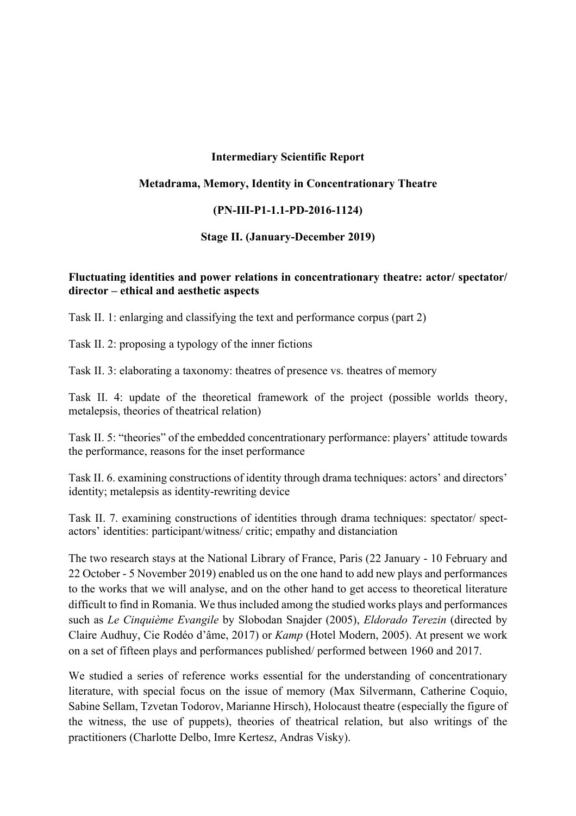### **Intermediary Scientific Report**

### **Metadrama, Memory, Identity in Concentrationary Theatre**

### **(PN-III-P1-1.1-PD-2016-1124)**

#### **Stage II. (January-December 2019)**

### **Fluctuating identities and power relations in concentrationary theatre: actor/ spectator/ director – ethical and aesthetic aspects**

Task II. 1: enlarging and classifying the text and performance corpus (part 2)

Task II. 2: proposing a typology of the inner fictions

Task II. 3: elaborating a taxonomy: theatres of presence vs. theatres of memory

Task II. 4: update of the theoretical framework of the project (possible worlds theory, metalepsis, theories of theatrical relation)

Task II. 5: "theories" of the embedded concentrationary performance: players' attitude towards the performance, reasons for the inset performance

Task II. 6. examining constructions of identity through drama techniques: actors' and directors' identity; metalepsis as identity-rewriting device

Task II. 7. examining constructions of identities through drama techniques: spectator/ spectactors' identities: participant/witness/ critic; empathy and distanciation

The two research stays at the National Library of France, Paris (22 January - 10 February and 22 October - 5 November 2019) enabled us on the one hand to add new plays and performances to the works that we will analyse, and on the other hand to get access to theoretical literature difficult to find in Romania. We thus included among the studied works plays and performances such as *Le Cinquième Evangile* by Slobodan Snajder (2005), *Eldorado Terezin* (directed by Claire Audhuy, Cie Rodéo d'âme, 2017) or *Kamp* (Hotel Modern, 2005). At present we work on a set of fifteen plays and performances published/ performed between 1960 and 2017.

We studied a series of reference works essential for the understanding of concentrationary literature, with special focus on the issue of memory (Max Silvermann, Catherine Coquio, Sabine Sellam, Tzvetan Todorov, Marianne Hirsch), Holocaust theatre (especially the figure of the witness, the use of puppets), theories of theatrical relation, but also writings of the practitioners (Charlotte Delbo, Imre Kertesz, Andras Visky).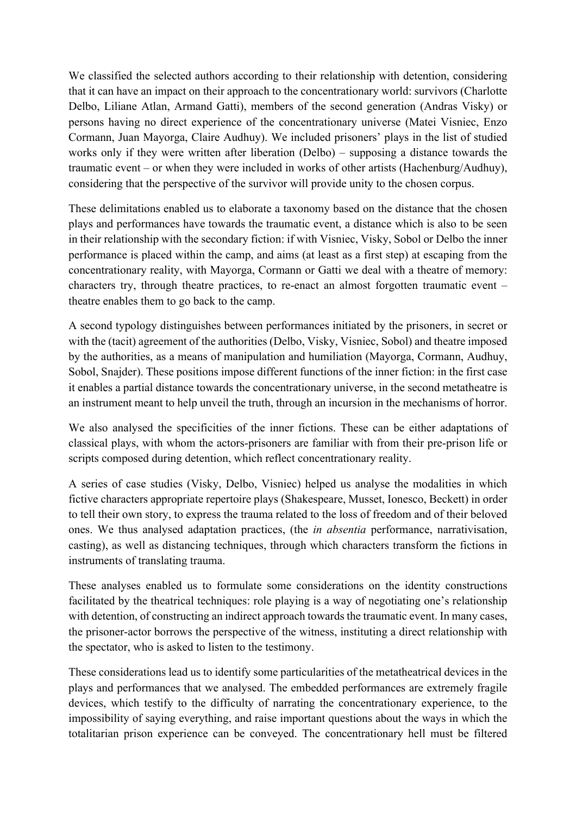We classified the selected authors according to their relationship with detention, considering that it can have an impact on their approach to the concentrationary world: survivors (Charlotte Delbo, Liliane Atlan, Armand Gatti), members of the second generation (Andras Visky) or persons having no direct experience of the concentrationary universe (Matei Visniec, Enzo Cormann, Juan Mayorga, Claire Audhuy). We included prisoners' plays in the list of studied works only if they were written after liberation (Delbo) – supposing a distance towards the traumatic event – or when they were included in works of other artists (Hachenburg/Audhuy), considering that the perspective of the survivor will provide unity to the chosen corpus.

These delimitations enabled us to elaborate a taxonomy based on the distance that the chosen plays and performances have towards the traumatic event, a distance which is also to be seen in their relationship with the secondary fiction: if with Visniec, Visky, Sobol or Delbo the inner performance is placed within the camp, and aims (at least as a first step) at escaping from the concentrationary reality, with Mayorga, Cormann or Gatti we deal with a theatre of memory: characters try, through theatre practices, to re-enact an almost forgotten traumatic event – theatre enables them to go back to the camp.

A second typology distinguishes between performances initiated by the prisoners, in secret or with the (tacit) agreement of the authorities (Delbo, Visky, Visniec, Sobol) and theatre imposed by the authorities, as a means of manipulation and humiliation (Mayorga, Cormann, Audhuy, Sobol, Snajder). These positions impose different functions of the inner fiction: in the first case it enables a partial distance towards the concentrationary universe, in the second metatheatre is an instrument meant to help unveil the truth, through an incursion in the mechanisms of horror.

We also analysed the specificities of the inner fictions. These can be either adaptations of classical plays, with whom the actors-prisoners are familiar with from their pre-prison life or scripts composed during detention, which reflect concentrationary reality.

A series of case studies (Visky, Delbo, Visniec) helped us analyse the modalities in which fictive characters appropriate repertoire plays (Shakespeare, Musset, Ionesco, Beckett) in order to tell their own story, to express the trauma related to the loss of freedom and of their beloved ones. We thus analysed adaptation practices, (the *in absentia* performance, narrativisation, casting), as well as distancing techniques, through which characters transform the fictions in instruments of translating trauma.

These analyses enabled us to formulate some considerations on the identity constructions facilitated by the theatrical techniques: role playing is a way of negotiating one's relationship with detention, of constructing an indirect approach towards the traumatic event. In many cases, the prisoner-actor borrows the perspective of the witness, instituting a direct relationship with the spectator, who is asked to listen to the testimony.

These considerations lead us to identify some particularities of the metatheatrical devices in the plays and performances that we analysed. The embedded performances are extremely fragile devices, which testify to the difficulty of narrating the concentrationary experience, to the impossibility of saying everything, and raise important questions about the ways in which the totalitarian prison experience can be conveyed. The concentrationary hell must be filtered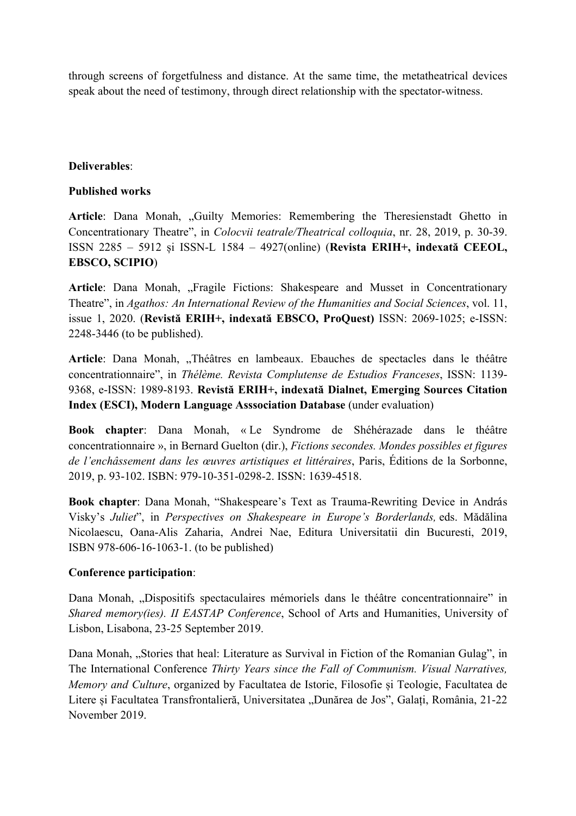through screens of forgetfulness and distance. At the same time, the metatheatrical devices speak about the need of testimony, through direct relationship with the spectator-witness.

# **Deliverables**:

# **Published works**

Article: Dana Monah, "Guilty Memories: Remembering the Theresienstadt Ghetto in Concentrationary Theatre", in *Colocvii teatrale/Theatrical colloquia*, nr. 28, 2019, p. 30-39. ISSN 2285 – 5912 și ISSN-L 1584 – 4927(online) (**Revista ERIH+, indexată CEEOL, EBSCO, SCIPIO**)

Article: Dana Monah, "Fragile Fictions: Shakespeare and Musset in Concentrationary Theatre", in *Agathos: An International Review of the Humanities and Social Sciences*, vol. 11, issue 1, 2020. (**Revistă ERIH+, indexată EBSCO, ProQuest)** ISSN: 2069-1025; e-ISSN: 2248-3446 (to be published).

Article: Dana Monah, "Théâtres en lambeaux. Ebauches de spectacles dans le théâtre concentrationnaire", in *Thélème. Revista Complutense de Estudios Franceses*, ISSN: 1139- 9368, e-ISSN: 1989-8193. **Revistă ERIH+, indexată Dialnet, Emerging Sources Citation Index (ESCI), Modern Language Asssociation Database** (under evaluation)

**Book chapter**: Dana Monah, « Le Syndrome de Shéhérazade dans le théâtre concentrationnaire », in Bernard Guelton (dir.), *Fictions secondes. Mondes possibles et figures de l'enchâssement dans les œuvres artistiques et littéraires*, Paris, Éditions de la Sorbonne, 2019, p. 93-102. ISBN: 979-10-351-0298-2. ISSN: 1639-4518.

**Book chapter**: Dana Monah, "Shakespeare's Text as Trauma-Rewriting Device in András Visky's *Juliet*", in *Perspectives on Shakespeare in Europe's Borderlands,* eds. Mădălina Nicolaescu, Oana-Alis Zaharia, Andrei Nae, Editura Universitatii din Bucuresti, 2019, ISBN 978-606-16-1063-1. (to be published)

# **Conference participation**:

Dana Monah, "Dispositifs spectaculaires mémoriels dans le théâtre concentrationnaire" in *Shared memory(ies). II EASTAP Conference*, School of Arts and Humanities, University of Lisbon, Lisabona, 23-25 September 2019.

Dana Monah, "Stories that heal: Literature as Survival in Fiction of the Romanian Gulag", in The International Conference *Thirty Years since the Fall of Communism. Visual Narratives, Memory and Culture*, organized by Facultatea de Istorie, Filosofie și Teologie, Facultatea de Litere și Facultatea Transfrontalieră, Universitatea "Dunărea de Jos", Galați, România, 21-22 November 2019.